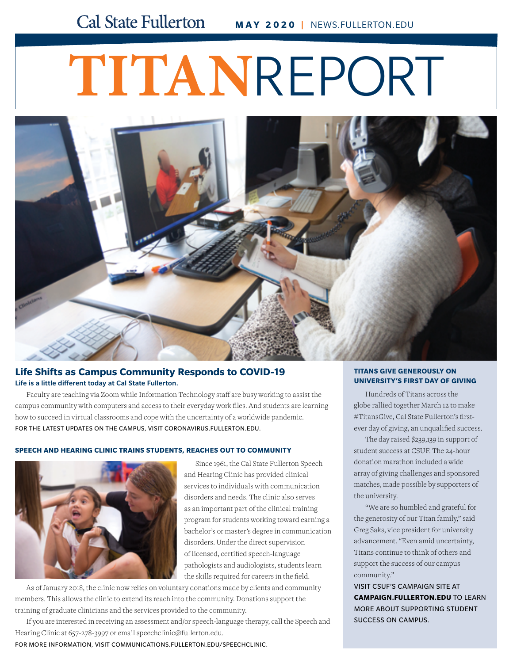# **TITAN**REPORT



#### **Life Shifts as Campus Community Responds to COVID-19** Life is a little different today at Cal State Fullerton.

Faculty are teaching via Zoom while Information Technology staff are busy working to assist the campus community with computers and access to their everyday work files. And students are learning how to succeed in virtual classrooms and cope with the uncertainty of a worldwide pandemic. FOR THE LATEST UPDATES ON THE CAMPUS, VISIT [CORONAVIRUS.FULLERTON.EDU](http://coronavirus.fullerton.edu).

#### **SPEECH AND HEARING CLINIC TRAINS STUDENTS, REACHES OUT TO COMMUNITY**



Since 1961, the Cal State Fullerton Speech and Hearing Clinic has provided clinical services to individuals with communication disorders and needs. The clinic also serves as an important part of the clinical training program for students working toward earning a bachelor's or master's degree in communication disorders. Under the direct supervision of licensed, certified speech-language pathologists and audiologists, students learn the skills required for careers in the field.

As of January 2018, the clinic now relies on voluntary donations made by clients and community members. This allows the clinic to extend its reach into the community. Donations support the training of graduate clinicians and the services provided to the community.

[If you are interested in receiving an assessment and/or speech-language therapy, call the Speech and](http://news.fullerton.edu/2020wi/Speech-and-Hearing-Clinic.aspx)  Hearing Clinic at 657-278-3997 or email [speechclinic@fullerton.edu](mailto:speechclinic@fullerton.edu).

FOR MORE INFORMATION, VISIT [COMMUNICATIONS.FULLERTON.EDU/SPEECHCLINIC.](http://communications.fullerton.edu/speechclinic)

#### **TITANS GIVE GENEROUSLY ON UNIVERSITY'S FIRST DAY OF GIVING**

Hundreds of Titans across the globe rallied together March 12 to make #TitansGive, Cal State Fullerton's firstever day of giving, an unqualified success.

The day raised \$239,139 in support of student success at CSUF. The 24-hour donation marathon included a wide array of giving challenges and sponsored matches, made possible by supporters of the university.

"We are so humbled and grateful for the generosity of our Titan family," said Greg Saks, vice president for university advancement. "Even amid uncertainty, Titans continue to think of others and support the success of our campus community."

VISIT CSUF'S CAMPAIGN SITE AT **[CAMPAIGN.FULLERTON.EDU](http://campaign.fullerton.edu)** TO LEARN MORE ABOUT SUPPORTING STUDENT SUCCESS ON CAMPUS.